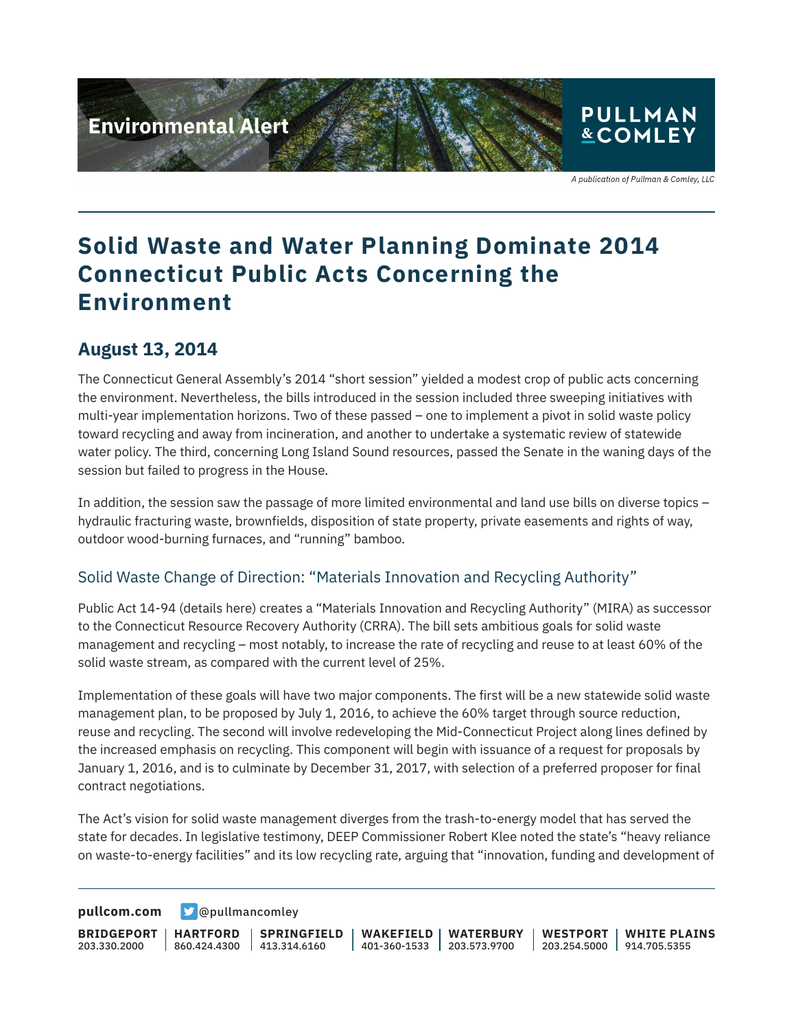

## **Solid Waste and Water Planning Dominate 2014 Connecticut Public Acts Concerning the Environment**

#### **August 13, 2014**

The Connecticut General Assembly's 2014 "short session" yielded a modest crop of public acts concerning the environment. Nevertheless, the bills introduced in the session included three sweeping initiatives with multi-year implementation horizons. Two of these passed – one to implement a pivot in solid waste policy toward recycling and away from incineration, and another to undertake a systematic review of statewide water policy. The third, concerning Long Island Sound resources, passed the Senate in the waning days of the session but failed to progress in the House.

In addition, the session saw the passage of more limited environmental and land use bills on diverse topics – hydraulic fracturing waste, brownfields, disposition of state property, private easements and rights of way, outdoor wood-burning furnaces, and "running" bamboo.

#### Solid Waste Change of Direction: "Materials Innovation and Recycling Authority"

Public Act 14-94 (details here) creates a "Materials Innovation and Recycling Authority" (MIRA) as successor to the Connecticut Resource Recovery Authority (CRRA). The bill sets ambitious goals for solid waste management and recycling – most notably, to increase the rate of recycling and reuse to at least 60% of the solid waste stream, as compared with the current level of 25%.

Implementation of these goals will have two major components. The first will be a new statewide solid waste management plan, to be proposed by July 1, 2016, to achieve the 60% target through source reduction, reuse and recycling. The second will involve redeveloping the Mid-Connecticut Project along lines defined by the increased emphasis on recycling. This component will begin with issuance of a request for proposals by January 1, 2016, and is to culminate by December 31, 2017, with selection of a preferred proposer for final contract negotiations.

The Act's vision for solid waste management diverges from the trash-to-energy model that has served the state for decades. In legislative testimony, DEEP Commissioner Robert Klee noted the state's "heavy reliance on waste-to-energy facilities" and its low recycling rate, arguing that "innovation, funding and development of

**[pullcom.com](https://www.pullcom.com) g** [@pullmancomley](https://twitter.com/PullmanComley)

**BRIDGEPORT** 203.330.2000 **HARTFORD** 860.424.4300 413.314.6160 **SPRINGFIELD WAKEFIELD WATERBURY** 401-360-1533 203.573.9700 **WESTPORT WHITE PLAINS** 203.254.5000 914.705.5355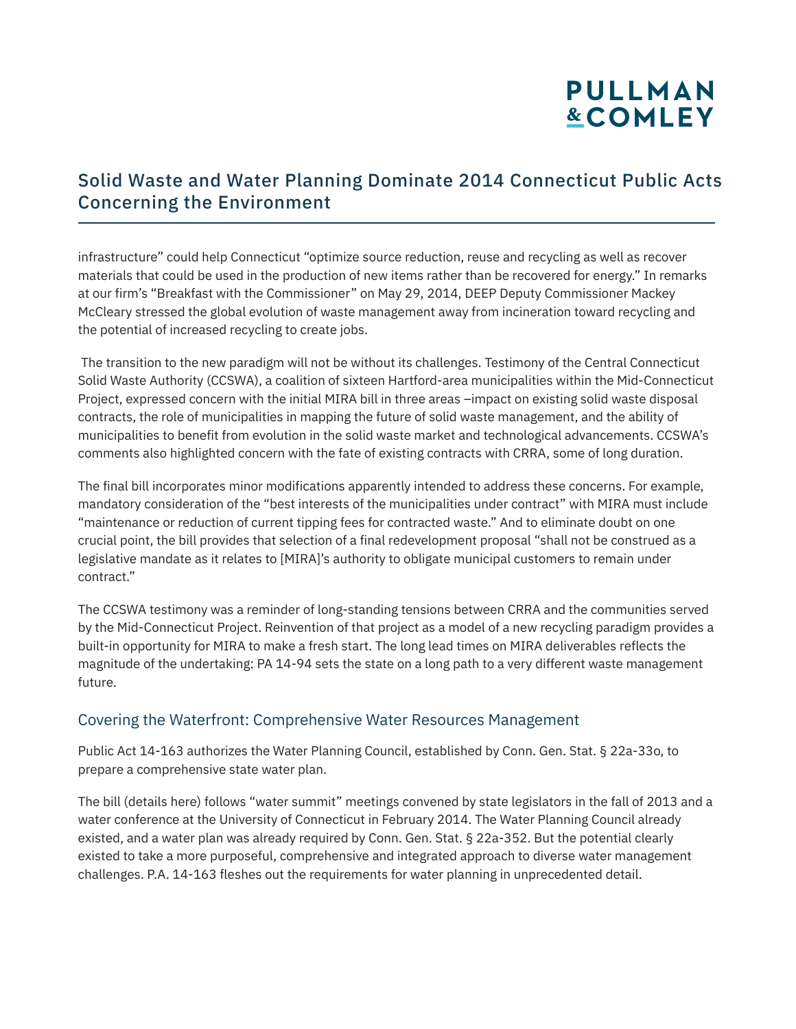# **PULLMAN &COMLEY**

### Solid Waste and Water Planning Dominate 2014 Connecticut Public Acts Concerning the Environment

infrastructure" could help Connecticut "optimize source reduction, reuse and recycling as well as recover materials that could be used in the production of new items rather than be recovered for energy." In remarks at our firm's "Breakfast with the Commissioner" on May 29, 2014, DEEP Deputy Commissioner Mackey McCleary stressed the global evolution of waste management away from incineration toward recycling and the potential of increased recycling to create jobs.

 The transition to the new paradigm will not be without its challenges. Testimony of the Central Connecticut Solid Waste Authority (CCSWA), a coalition of sixteen Hartford-area municipalities within the Mid-Connecticut Project, expressed concern with the initial MIRA bill in three areas –impact on existing solid waste disposal contracts, the role of municipalities in mapping the future of solid waste management, and the ability of municipalities to benefit from evolution in the solid waste market and technological advancements. CCSWA's comments also highlighted concern with the fate of existing contracts with CRRA, some of long duration.

The final bill incorporates minor modifications apparently intended to address these concerns. For example, mandatory consideration of the "best interests of the municipalities under contract" with MIRA must include "maintenance or reduction of current tipping fees for contracted waste." And to eliminate doubt on one crucial point, the bill provides that selection of a final redevelopment proposal "shall not be construed as a legislative mandate as it relates to [MIRA]'s authority to obligate municipal customers to remain under contract."

The CCSWA testimony was a reminder of long-standing tensions between CRRA and the communities served by the Mid-Connecticut Project. Reinvention of that project as a model of a new recycling paradigm provides a built-in opportunity for MIRA to make a fresh start. The long lead times on MIRA deliverables reflects the magnitude of the undertaking: PA 14-94 sets the state on a long path to a very different waste management future.

#### Covering the Waterfront: Comprehensive Water Resources Management

Public Act 14-163 authorizes the Water Planning Council, established by Conn. Gen. Stat. § 22a-33o, to prepare a comprehensive state water plan.

The bill (details here) follows "water summit" meetings convened by state legislators in the fall of 2013 and a water conference at the University of Connecticut in February 2014. The Water Planning Council already existed, and a water plan was already required by Conn. Gen. Stat. § 22a-352. But the potential clearly existed to take a more purposeful, comprehensive and integrated approach to diverse water management challenges. P.A. 14-163 fleshes out the requirements for water planning in unprecedented detail.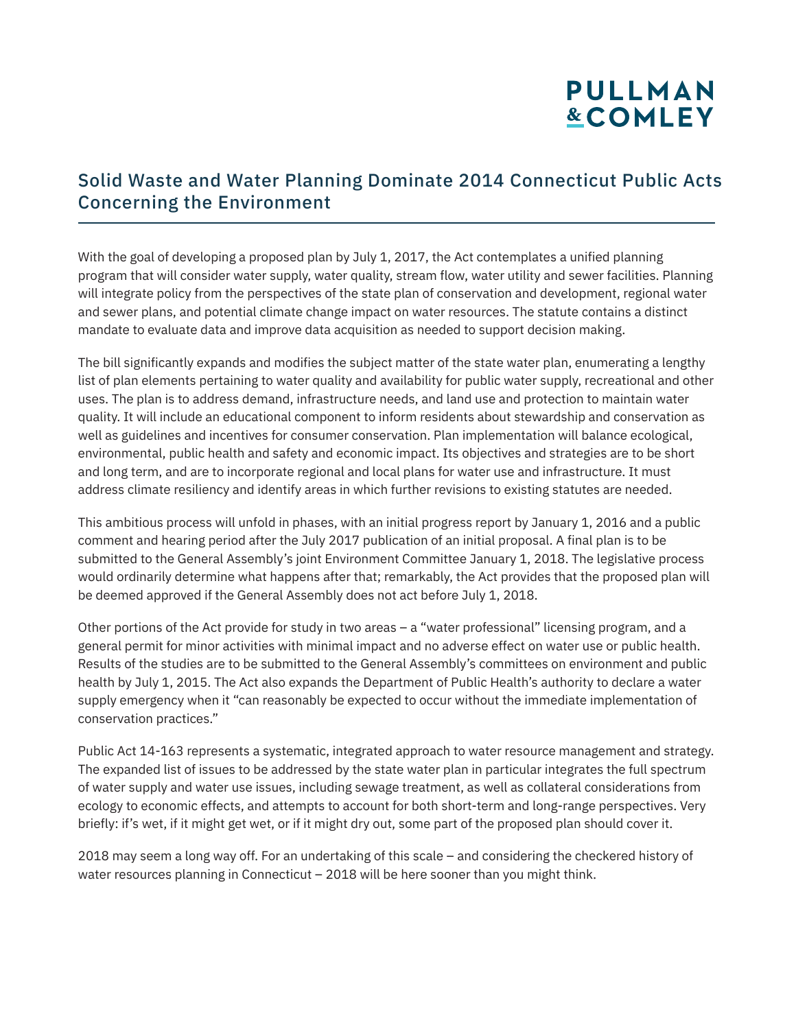# **PULLMAN &COMLEY**

### Solid Waste and Water Planning Dominate 2014 Connecticut Public Acts Concerning the Environment

With the goal of developing a proposed plan by July 1, 2017, the Act contemplates a unified planning program that will consider water supply, water quality, stream flow, water utility and sewer facilities. Planning will integrate policy from the perspectives of the state plan of conservation and development, regional water and sewer plans, and potential climate change impact on water resources. The statute contains a distinct mandate to evaluate data and improve data acquisition as needed to support decision making.

The bill significantly expands and modifies the subject matter of the state water plan, enumerating a lengthy list of plan elements pertaining to water quality and availability for public water supply, recreational and other uses. The plan is to address demand, infrastructure needs, and land use and protection to maintain water quality. It will include an educational component to inform residents about stewardship and conservation as well as guidelines and incentives for consumer conservation. Plan implementation will balance ecological, environmental, public health and safety and economic impact. Its objectives and strategies are to be short and long term, and are to incorporate regional and local plans for water use and infrastructure. It must address climate resiliency and identify areas in which further revisions to existing statutes are needed.

This ambitious process will unfold in phases, with an initial progress report by January 1, 2016 and a public comment and hearing period after the July 2017 publication of an initial proposal. A final plan is to be submitted to the General Assembly's joint Environment Committee January 1, 2018. The legislative process would ordinarily determine what happens after that; remarkably, the Act provides that the proposed plan will be deemed approved if the General Assembly does not act before July 1, 2018.

Other portions of the Act provide for study in two areas – a "water professional" licensing program, and a general permit for minor activities with minimal impact and no adverse effect on water use or public health. Results of the studies are to be submitted to the General Assembly's committees on environment and public health by July 1, 2015. The Act also expands the Department of Public Health's authority to declare a water supply emergency when it "can reasonably be expected to occur without the immediate implementation of conservation practices."

Public Act 14-163 represents a systematic, integrated approach to water resource management and strategy. The expanded list of issues to be addressed by the state water plan in particular integrates the full spectrum of water supply and water use issues, including sewage treatment, as well as collateral considerations from ecology to economic effects, and attempts to account for both short-term and long-range perspectives. Very briefly: if's wet, if it might get wet, or if it might dry out, some part of the proposed plan should cover it.

2018 may seem a long way off. For an undertaking of this scale – and considering the checkered history of water resources planning in Connecticut – 2018 will be here sooner than you might think.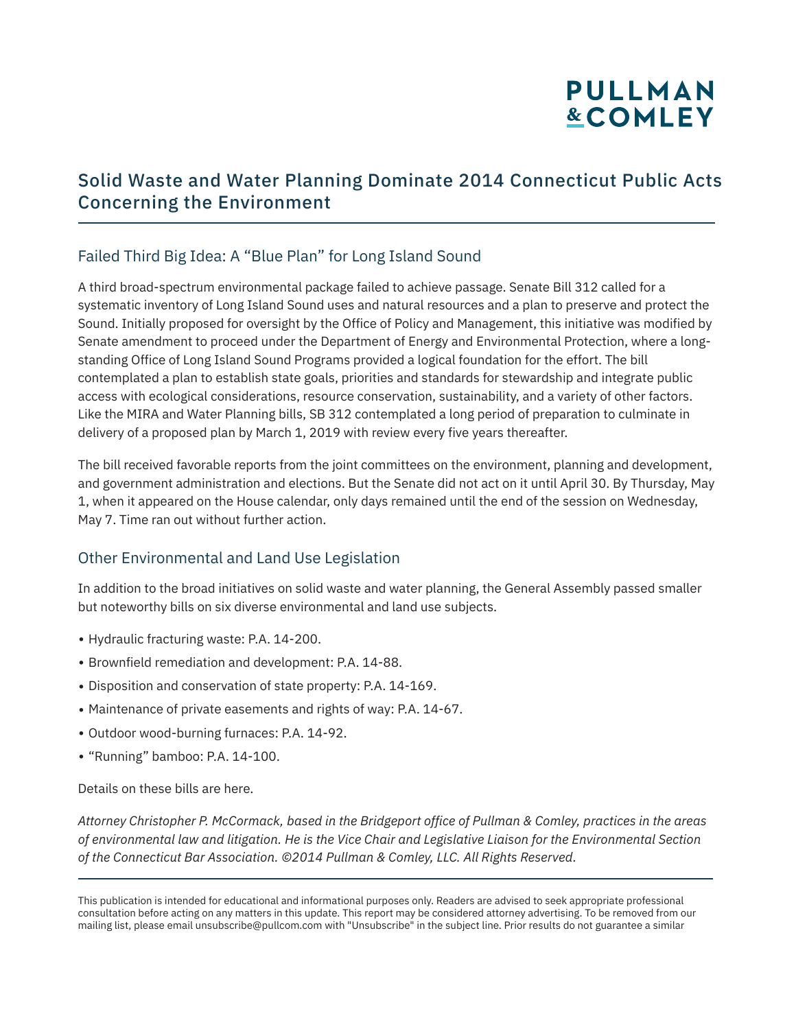## **PULLMAN &COMLEY**

### Solid Waste and Water Planning Dominate 2014 Connecticut Public Acts Concerning the Environment

#### Failed Third Big Idea: A "Blue Plan" for Long Island Sound

A third broad-spectrum environmental package failed to achieve passage. Senate Bill 312 called for a systematic inventory of Long Island Sound uses and natural resources and a plan to preserve and protect the Sound. Initially proposed for oversight by the Office of Policy and Management, this initiative was modified by Senate amendment to proceed under the Department of Energy and Environmental Protection, where a longstanding Office of Long Island Sound Programs provided a logical foundation for the effort. The bill contemplated a plan to establish state goals, priorities and standards for stewardship and integrate public access with ecological considerations, resource conservation, sustainability, and a variety of other factors. Like the MIRA and Water Planning bills, SB 312 contemplated a long period of preparation to culminate in delivery of a proposed plan by March 1, 2019 with review every five years thereafter.

The bill received favorable reports from the joint committees on the environment, planning and development, and government administration and elections. But the Senate did not act on it until April 30. By Thursday, May 1, when it appeared on the House calendar, only days remained until the end of the session on Wednesday, May 7. Time ran out without further action.

#### Other Environmental and Land Use Legislation

In addition to the broad initiatives on solid waste and water planning, the General Assembly passed smaller but noteworthy bills on six diverse environmental and land use subjects.

- Hydraulic fracturing waste: P.A. 14-200.
- Brownfield remediation and development: P.A. 14-88.
- Disposition and conservation of state property: P.A. 14-169.
- Maintenance of private easements and rights of way: P.A. 14-67.
- Outdoor wood-burning furnaces: P.A. 14-92.
- "Running" bamboo: P.A. 14-100.

Details on these bills are here.

l

*Attorney Christopher P. McCormack, based in the Bridgeport office of Pullman & Comley, practices in the areas of environmental law and litigation. He is the Vice Chair and Legislative Liaison for the Environmental Section of the Connecticut Bar Association. ©2014 Pullman & Comley, LLC. All Rights Reserved.* 

This publication is intended for educational and informational purposes only. Readers are advised to seek appropriate professional consultation before acting on any matters in this update. This report may be considered attorney advertising. To be removed from our mailing list, please email unsubscribe@pullcom.com with "Unsubscribe" in the subject line. Prior results do not guarantee a similar